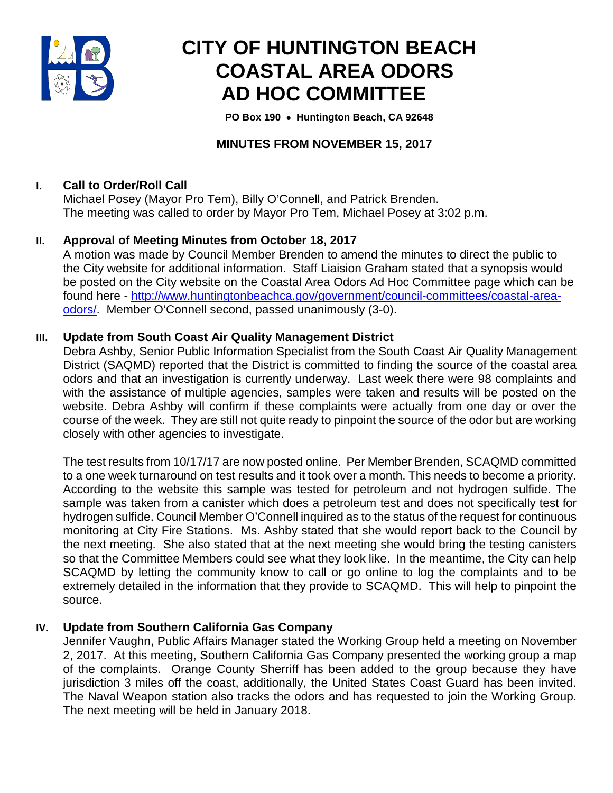

# **CITY OF HUNTINGTON BEACH COASTAL AREA ODORS AD HOC COMMITTEE**

 **PO Box 190** • **Huntington Beach, CA 92648**

## **MINUTES FROM NOVEMBER 15, 2017**

## **I. Call to Order/Roll Call**

Michael Posey (Mayor Pro Tem), Billy O'Connell, and Patrick Brenden. The meeting was called to order by Mayor Pro Tem, Michael Posey at 3:02 p.m.

## **II. Approval of Meeting Minutes from October 18, 2017**

A motion was made by Council Member Brenden to amend the minutes to direct the public to the City website for additional information. Staff Liaision Graham stated that a synopsis would be posted on the City website on the Coastal Area Odors Ad Hoc Committee page which can be found here - [http://www.huntingtonbeachca.gov/government/council-committees/coastal-area](http://www.huntingtonbeachca.gov/government/council-committees/coastal-area-odors/)[odors/.](http://www.huntingtonbeachca.gov/government/council-committees/coastal-area-odors/) Member O'Connell second, passed unanimously (3-0).

## **III. Update from South Coast Air Quality Management District**

Debra Ashby, Senior Public Information Specialist from the South Coast Air Quality Management District (SAQMD) reported that the District is committed to finding the source of the coastal area odors and that an investigation is currently underway. Last week there were 98 complaints and with the assistance of multiple agencies, samples were taken and results will be posted on the website. Debra Ashby will confirm if these complaints were actually from one day or over the course of the week. They are still not quite ready to pinpoint the source of the odor but are working closely with other agencies to investigate.

The test results from 10/17/17 are now posted online. Per Member Brenden, SCAQMD committed to a one week turnaround on test results and it took over a month. This needs to become a priority. According to the website this sample was tested for petroleum and not hydrogen sulfide. The sample was taken from a canister which does a petroleum test and does not specifically test for hydrogen sulfide. Council Member O'Connell inquired as to the status of the request for continuous monitoring at City Fire Stations. Ms. Ashby stated that she would report back to the Council by the next meeting. She also stated that at the next meeting she would bring the testing canisters so that the Committee Members could see what they look like. In the meantime, the City can help SCAQMD by letting the community know to call or go online to log the complaints and to be extremely detailed in the information that they provide to SCAQMD. This will help to pinpoint the source.

## **IV. Update from Southern California Gas Company**

Jennifer Vaughn, Public Affairs Manager stated the Working Group held a meeting on November 2, 2017. At this meeting, Southern California Gas Company presented the working group a map of the complaints. Orange County Sherriff has been added to the group because they have jurisdiction 3 miles off the coast, additionally, the United States Coast Guard has been invited. The Naval Weapon station also tracks the odors and has requested to join the Working Group. The next meeting will be held in January 2018.